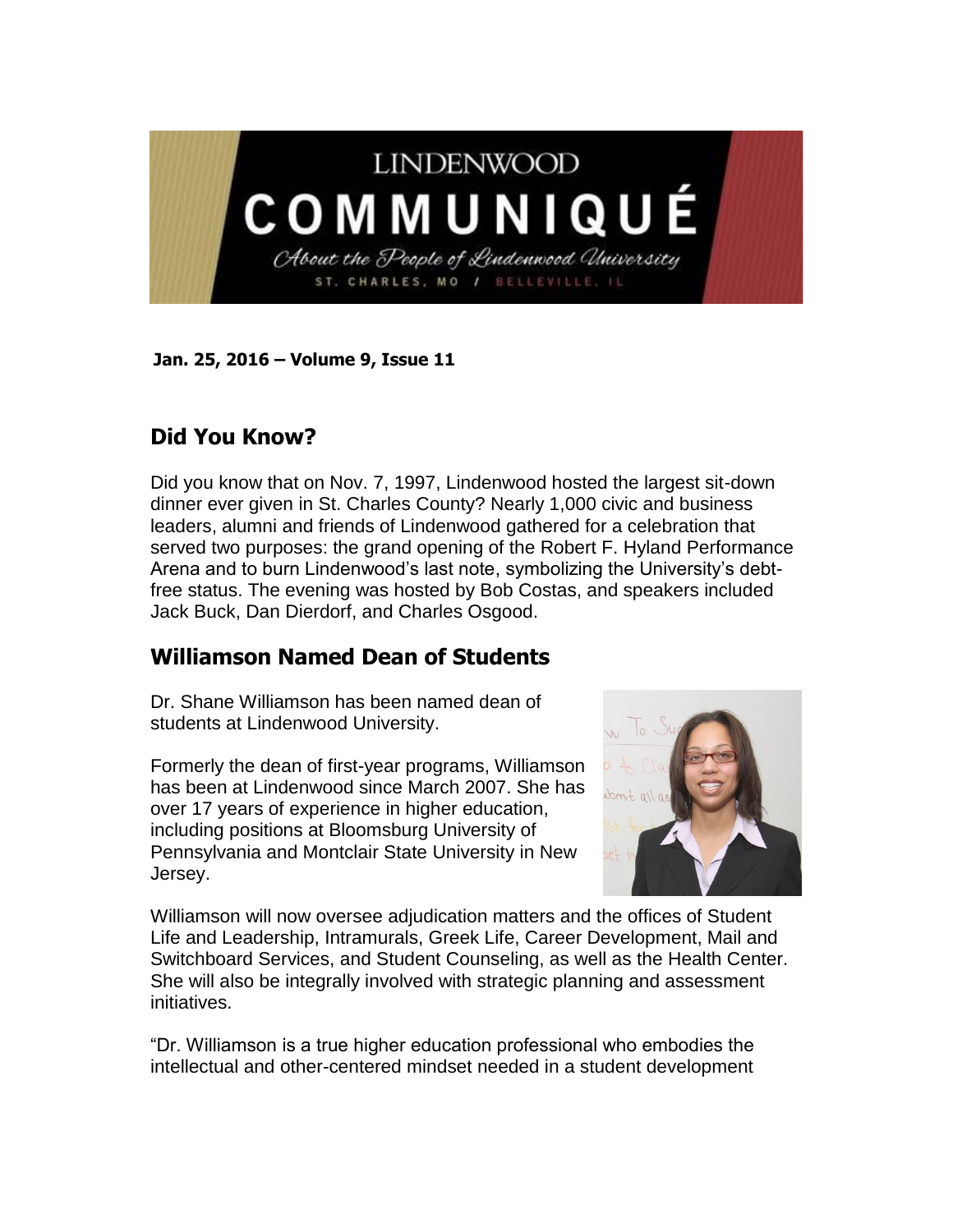

**Jan. 25, 2016 – Volume 9, Issue 11** 

## **Did You Know?**

Did you know that on Nov. 7, 1997, Lindenwood hosted the largest sit-down dinner ever given in St. Charles County? Nearly 1,000 civic and business leaders, alumni and friends of Lindenwood gathered for a celebration that served two purposes: the grand opening of the Robert F. Hyland Performance Arena and to burn Lindenwood's last note, symbolizing the University's debtfree status. The evening was hosted by Bob Costas, and speakers included Jack Buck, Dan Dierdorf, and Charles Osgood.

## **Williamson Named Dean of Students**

Dr. Shane Williamson has been named dean of students at Lindenwood University.

Formerly the dean of first-year programs, Williamson has been at Lindenwood since March 2007. She has over 17 years of experience in higher education, including positions at Bloomsburg University of Pennsylvania and Montclair State University in New Jersey.



Williamson will now oversee adjudication matters and the offices of Student Life and Leadership, Intramurals, Greek Life, Career Development, Mail and Switchboard Services, and Student Counseling, as well as the Health Center. She will also be integrally involved with strategic planning and assessment initiatives.

"Dr. Williamson is a true higher education professional who embodies the intellectual and other-centered mindset needed in a student development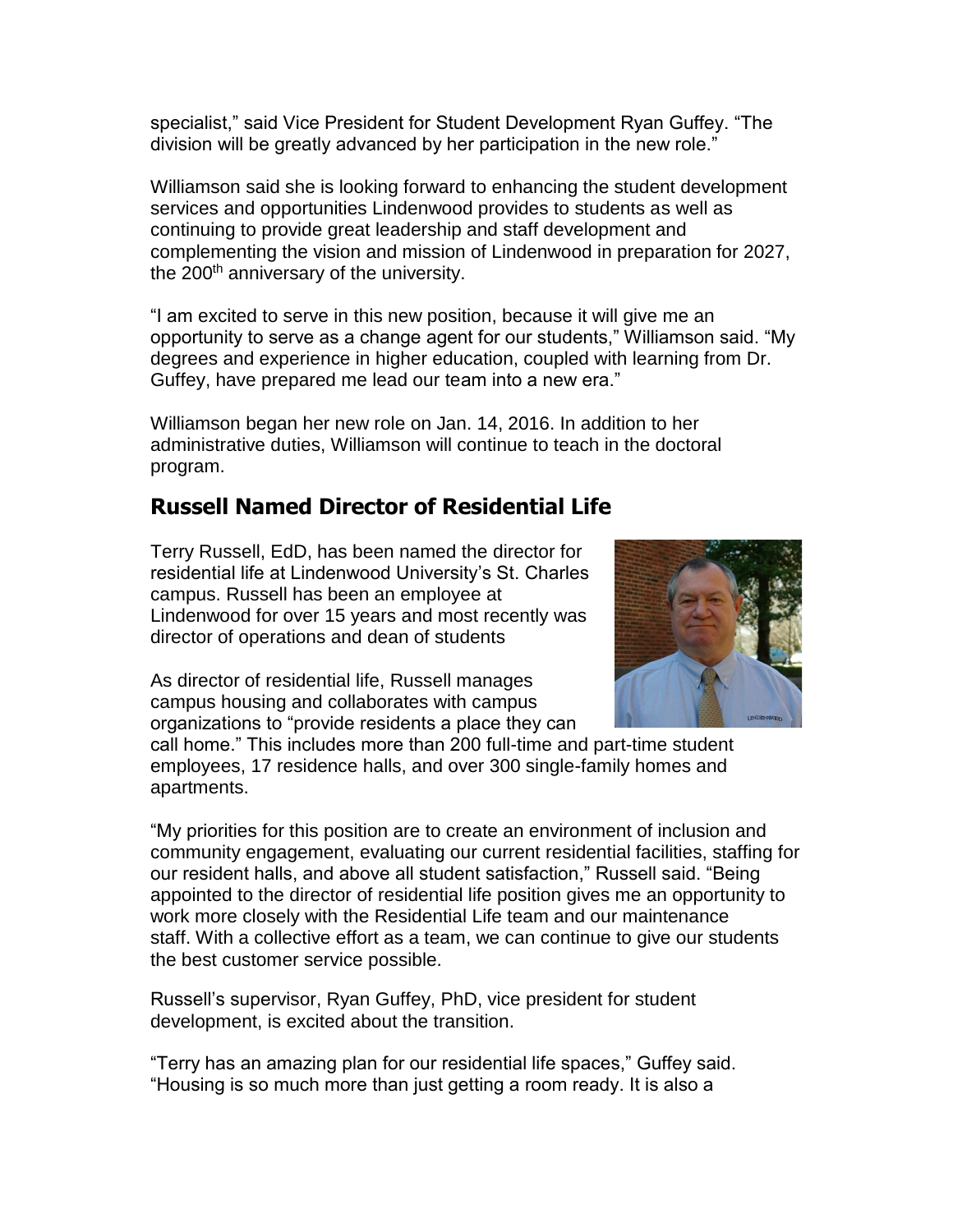specialist," said Vice President for Student Development Ryan Guffey. "The division will be greatly advanced by her participation in the new role."

Williamson said she is looking forward to enhancing the student development services and opportunities Lindenwood provides to students as well as continuing to provide great leadership and staff development and complementing the vision and mission of Lindenwood in preparation for 2027, the 200<sup>th</sup> anniversary of the university.

"I am excited to serve in this new position, because it will give me an opportunity to serve as a change agent for our students," Williamson said. "My degrees and experience in higher education, coupled with learning from Dr. Guffey, have prepared me lead our team into a new era."

Williamson began her new role on Jan. 14, 2016. In addition to her administrative duties, Williamson will continue to teach in the doctoral program.

## **Russell Named Director of Residential Life**

Terry Russell, EdD, has been named the director for residential life at Lindenwood University's St. Charles campus. Russell has been an employee at Lindenwood for over 15 years and most recently was director of operations and dean of students



As director of residential life, Russell manages campus housing and collaborates with campus organizations to "provide residents a place they can

call home." This includes more than 200 full-time and part-time student employees, 17 residence halls, and over 300 single-family homes and apartments.

"My priorities for this position are to create an environment of inclusion and community engagement, evaluating our current residential facilities, staffing for our resident halls, and above all student satisfaction," Russell said. "Being appointed to the director of residential life position gives me an opportunity to work more closely with the Residential Life team and our maintenance staff. With a collective effort as a team, we can continue to give our students the best customer service possible.

Russell's supervisor, Ryan Guffey, PhD, vice president for student development, is excited about the transition.

"Terry has an amazing plan for our residential life spaces," Guffey said. "Housing is so much more than just getting a room ready. It is also a